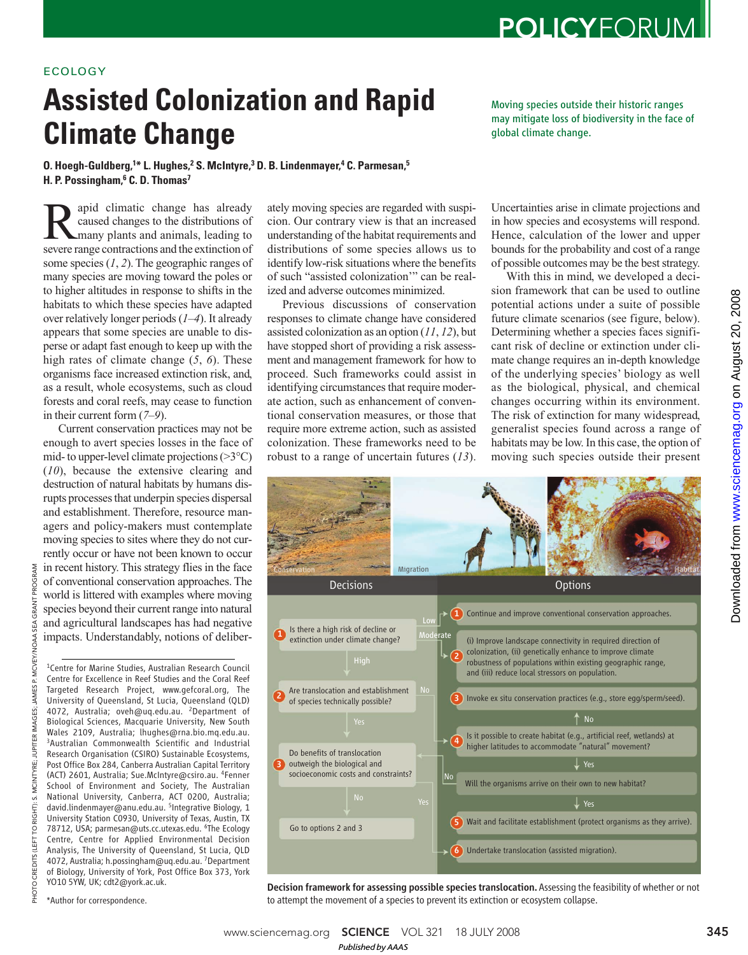## ECOLOGY

## **Assisted Colonization and Rapid Climate Change**

Moving species outside their historic ranges may mitigate loss of biodiversity in the face of global climate change.

**POLICYFORUM** 

**O. Hoegh-Guldberg,<sup>1</sup>\* L. Hughes,<sup>2</sup> S. McIntyre,<sup>3</sup> D. B. Lindenmayer,<sup>4</sup> C. Parmesan,<sup>5</sup> H. P. Possingham,<sup>6</sup> C. D. Thomas<sup>7</sup>**

Resumed and severe range contractions and the extinctions of severe range contractions and the extinction of apid climatic change has already caused changes to the distributions of many plants and animals, leading to some species (*1*, *2*). The geographic ranges of many species are moving toward the poles or to higher altitudes in response to shifts in the habitats to which these species have adapted over relatively longer periods (*1–4*). It already appears that some species are unable to disperse or adapt fast enough to keep up with the high rates of climate change (*5*, *6*). These organisms face increased extinction risk, and, as a result, whole ecosystems, such as cloud forests and coral reefs, may cease to function in their current form (*7*–*9*).

Current conservation practices may not be enough to avert species losses in the face of mid- to upper-level climate projections  $(>\!\!3^{\circ}\mathcal{C})$ (*10*), because the extensive clearing and destruction of natural habitats by humans disrupts processes that underpin species dispersal and establishment. Therefore, resource managers and policy-makers must contemplate moving species to sites where they do not currently occur or have not been known to occur in recent history. This strategy flies in the face of conventional conservation approaches. The world is littered with examples where moving species beyond their current range into natural and agricultural landscapes has had negative impacts. Understandably, notions of deliber-

**NV3** PROG

> <sup>1</sup>Centre for Marine Studies, Australian Research Council Centre for Excellence in Reef Studies and the Coral Reef Targeted Research Project, www.gefcoral.org, The University of Queensland, St Lucia, Queensland (QLD) 4072, Australia; oveh@uq.edu.au. <sup>2</sup>Department of Biological Sciences, Macquarie University, New South Wales 2109, Australia; lhughes@rna.bio.mq.edu.au. <sup>3</sup>Australian Commonwealth Scientific and Industrial Research Organisation (CSIRO) Sustainable Ecosystems, Post Office Box 284, Canberra Australian Capital Territory (ACT) 2601, Australia; Sue.McIntyre@csiro.au. <sup>4</sup> Fenner School of Environment and Society, The Australian National University, Canberra, ACT 0200, Australia; david.lindenmayer@anu.edu.au. <sup>5</sup>Integrative Biology, 1 University Station C0930, University of Texas, Austin, TX 78712, USA; parmesan@uts.cc.utexas.edu. <sup>6</sup>The Ecology Centre, Centre for Applied Environmental Decision Analysis, The University of Queensland, St Lucia, QLD 4072, Australia; h.possingham@uq.edu.au. <sup>7</sup>Department of Biology, University of York, Post Office Box 373, York YO10 5YW, UK; cdt2@york.ac.uk.

ately moving species are regarded with suspicion. Our contrary view is that an increased understanding of the habitat requirements and distributions of some species allows us to identify low-risk situations where the benefits of such "assisted colonization'" can be realized and adverse outcomes minimized.

Previous discussions of conservation responses to climate change have considered assisted colonization as an option (*11*, *12*), but have stopped short of providing a risk assessment and management framework for how to proceed. Such frameworks could assist in identifying circumstances that require moderate action, such as enhancement of conventional conservation measures, or those that require more extreme action, such as assisted colonization. These frameworks need to be robust to a range of uncertain futures (*13*).

1

2

3

Is there a high risk of decline or extinction under climate change?

Are translocation and establishment of species technically possible?

High

Do benefits of translocation outweigh the biological and socioeconomic costs and constraints? Uncertainties arise in climate projections and in how species and ecosystems will respond. Hence, calculation of the lower and upper bounds for the probability and cost of a range of possible outcomes may be the best strategy.

With this in mind, we developed a decision framework that can be used to outline potential actions under a suite of possible future climate scenarios (see figure, below). Determining whether a species faces significant risk of decline or extinction under climate change requires an in-depth knowledge of the underlying species' biology as well as the biological, physical, and chemical changes occurring within its environment. The risk of extinction for many widespread, generalist species found across a range of habitats may be low. In this case, the option of moving such species outside their present

1 Continue and improve conventional conservation approaches.

Migration Habitat

(i) Improve landscape connectivity in required direction of colonization, (ii) genetically enhance to improve climate robustness of populations within existing geographic range,

Invoke ex situ conservation practices (e.g., store egg/sperm/seed).

No

Yes

Is it possible to create habitat (e.g., artificial reef, wetlands) at higher latitudes to accommodate "natural" movement?

Will the organisms arrive on their own to new habitat?

and (iii) reduce local stressors on population.



Decisions **Decisions** Options

2

rate

4

No

\*Author for correspondence.

www.sciencemag.orgon August 20, 2008

Downloaded from www.sciencemag.org on August 20, 2008

Downloaded from